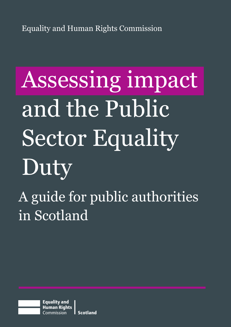Equality and Human Rights Commission

# Assessing impact and the Public Sector Equality Duty A guide for public authorities in Scotland

**Equality and Human Rights Scotland** Commission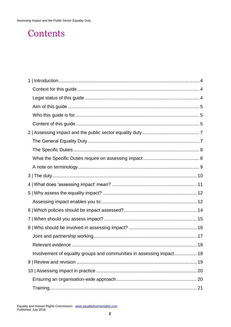# Contents

| Involvement of equality groups and communities in assessing impact 18 |  |
|-----------------------------------------------------------------------|--|
|                                                                       |  |
|                                                                       |  |
|                                                                       |  |
|                                                                       |  |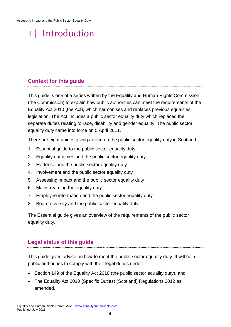# <span id="page-3-0"></span>1 | Introduction

#### <span id="page-3-1"></span>**Context for this guide**

This guide is one of a series written by the Equality and Human Rights Commission (the Commission) to explain how public authorities can meet the requirements of the Equality Act 2010 (the Act), which harmonises and replaces previous equalities legislation. The Act includes a public sector equality duty which replaced the separate duties relating to race, disability and gender equality. The public sector equality duty came into force on 5 April 2011.

There are eight guides giving advice on the public sector equality duty in Scotland:

- 1. Essential guide to the public sector equality duty
- 2. Equality outcomes and the public sector equality duty
- 3. Evidence and the public sector equality duty
- 4. Involvement and the public sector equality duty
- 5. Assessing impact and the public sector equality duty
- 6. Mainstreaming the equality duty
- 7. Employee information and the public sector equality duty
- 8. Board diversity and the public sector equality duty

The Essential guide gives an overview of the requirements of the public sector equality duty.

#### <span id="page-3-2"></span>**Legal status of this guide**

This guide gives advice on how to meet the public sector equality duty. It will help public authorities to comply with their legal duties under:

- Section 149 of the Equality Act 2010 (the public sector equality duty), and
- The Equality Act 2010 (Specific Duties) (Scotland) Regulations 2012 as amended.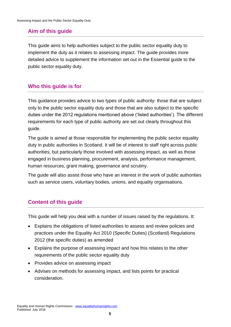### <span id="page-4-0"></span>**Aim of this guide**

This guide aims to help authorities subject to the public sector equality duty to implement the duty as it relates to assessing impact. The guide provides more detailed advice to supplement the information set out in the Essential guide to the public sector equality duty.

### <span id="page-4-1"></span>**Who this guide is for**

This guidance provides advice to two types of public authority: those that are subject only to the public sector equality duty and those that are also subject to the specific duties under the 2012 regulations mentioned above ('listed authorities'). The different requirements for each type of public authority are set out clearly throughout this guide.

The guide is aimed at those responsible for implementing the public sector equality duty in public authorities in Scotland. It will be of interest to staff right across public authorities, but particularly those involved with assessing impact, as well as those engaged in business planning, procurement, analysis, performance management, human resources, grant making, governance and scrutiny.

The guide will also assist those who have an interest in the work of public authorities such as service users, voluntary bodies, unions, and equality organisations.

### <span id="page-4-2"></span>**Content of this guide**

This guide will help you deal with a number of issues raised by the regulations. It:

- Explains the obligations of listed authorities to assess and review policies and practices under the Equality Act 2010 (Specific Duties) (Scotland) Regulations 2012 (the specific duties) as amended
- Explains the purpose of assessing impact and how this relates to the other requirements of the public sector equality duty
- Provides advice on assessing impact
- Advises on methods for assessing impact, and lists points for practical consideration.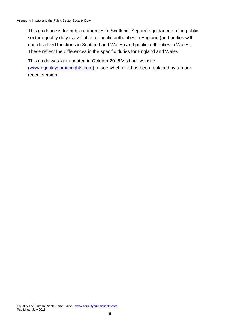This guidance is for public authorities in Scotland. Separate guidance on the public sector equality duty is available for public authorities in England (and bodies with non-devolved functions in Scotland and Wales) and public authorities in Wales. These reflect the differences in the specific duties for England and Wales.

This guide was last updated in October 2016 Visit our website [\(www.equalityhumanrights.com\)](http://www.equalityhumanrights.com/) to see whether it has been replaced by a more recent version.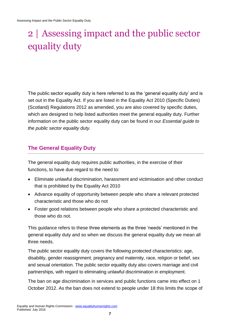# <span id="page-6-0"></span>2 | Assessing impact and the public sector equality duty

The public sector equality duty is here referred to as the 'general equality duty' and is set out in the Equality Act. If you are listed in the Equality Act 2010 (Specific Duties) (Scotland) Regulations 2012 as amended, you are also covered by specific duties, which are designed to help listed authorities meet the general equality duty. Further information on the public sector equality duty can be found in our *Essential guide to the public sector equality duty.*

### <span id="page-6-1"></span>**The General Equality Duty**

The general equality duty requires public authorities, in the exercise of their functions, to have due regard to the need to:

- Eliminate unlawful discrimination, harassment and victimisation and other conduct that is prohibited by the Equality Act 2010
- Advance equality of opportunity between people who share a relevant protected characteristic and those who do not
- Foster good relations between people who share a protected characteristic and those who do not.

This guidance refers to these three elements as the three 'needs' mentioned in the general equality duty and so when we discuss the general equality duty we mean all three needs.

The public sector equality duty covers the following protected characteristics: age, disability, gender reassignment, pregnancy and maternity, race, religion or belief, sex and sexual orientation. The public sector equality duty also covers marriage and civil partnerships, with regard to eliminating unlawful discrimination in employment.

The ban on age discrimination in services and public functions came into effect on 1 October 2012. As the ban does not extend to people under 18 this limits the scope of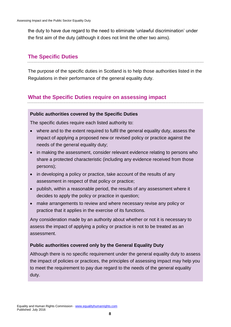the duty to have due regard to the need to eliminate 'unlawful discrimination' under the first aim of the duty (although it does not limit the other two aims).

### <span id="page-7-0"></span>**The Specific Duties**

The purpose of the specific duties in Scotland is to help those authorities listed in the Regulations in their performance of the general equality duty.

### <span id="page-7-1"></span>**What the Specific Duties require on assessing impact**

#### **Public authorities covered by the Specific Duties**

The specific duties require each listed authority to:

- where and to the extent required to fulfil the general equality duty, assess the impact of applying a proposed new or revised policy or practice against the needs of the general equality duty;
- in making the assessment, consider relevant evidence relating to persons who share a protected characteristic (including any evidence received from those persons);
- in developing a policy or practice, take account of the results of any assessment in respect of that policy or practice;
- publish, within a reasonable period, the results of any assessment where it decides to apply the policy or practice in question;
- make arrangements to review and where necessary revise any policy or practice that it applies in the exercise of its functions.

Any consideration made by an authority about whether or not it is necessary to assess the impact of applying a policy or practice is not to be treated as an assessment.

#### **Public authorities covered only by the General Equality Duty**

Although there is no specific requirement under the general equality duty to assess the impact of policies or practices, the principles of assessing impact may help you to meet the requirement to pay due regard to the needs of the general equality duty.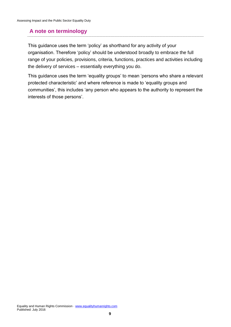### <span id="page-8-0"></span>**A note on terminology**

This guidance uses the term 'policy' as shorthand for any activity of your organisation. Therefore 'policy' should be understood broadly to embrace the full range of your policies, provisions, criteria, functions, practices and activities including the delivery of services – essentially everything you do.

This guidance uses the term 'equality groups' to mean 'persons who share a relevant protected characteristic' and where reference is made to 'equality groups and communities', this includes 'any person who appears to the authority to represent the interests of those persons'.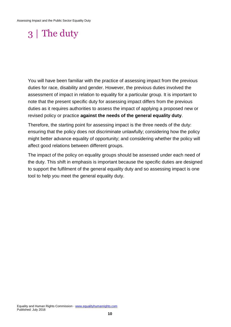# <span id="page-9-0"></span>3 | The duty

You will have been familiar with the practice of assessing impact from the previous duties for race, disability and gender. However, the previous duties involved the assessment of impact in relation to equality for a particular group. It is important to note that the present specific duty for assessing impact differs from the previous duties as it requires authorities to assess the impact of applying a proposed new or revised policy or practice **against the needs of the general equality duty**.

Therefore, the starting point for assessing impact is the three needs of the duty: ensuring that the policy does not discriminate unlawfully; considering how the policy might better advance equality of opportunity; and considering whether the policy will affect good relations between different groups.

The impact of the policy on equality groups should be assessed under each need of the duty. This shift in emphasis is important because the specific duties are designed to support the fulfilment of the general equality duty and so assessing impact is one tool to help you meet the general equality duty.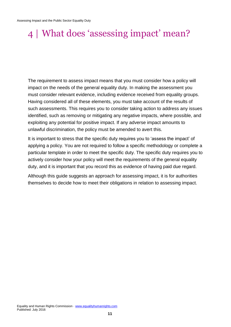# <span id="page-10-0"></span>4 | What does 'assessing impact' mean?

The requirement to assess impact means that you must consider how a policy will impact on the needs of the general equality duty. In making the assessment you must consider relevant evidence, including evidence received from equality groups. Having considered all of these elements, you must take account of the results of such assessments. This requires you to consider taking action to address any issues identified, such as removing or mitigating any negative impacts, where possible, and exploiting any potential for positive impact. If any adverse impact amounts to unlawful discrimination, the policy must be amended to avert this.

It is important to stress that the specific duty requires you to 'assess the impact' of applying a policy. You are not required to follow a specific methodology or complete a particular template in order to meet the specific duty. The specific duty requires you to actively consider how your policy will meet the requirements of the general equality duty, and it is important that you record this as evidence of having paid due regard.

Although this guide suggests an approach for assessing impact, it is for authorities themselves to decide how to meet their obligations in relation to assessing impact.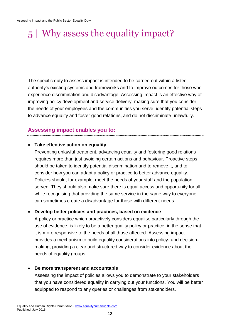# <span id="page-11-0"></span>5 | Why assess the equality impact?

The specific duty to assess impact is intended to be carried out within a listed authority's existing systems and frameworks and to improve outcomes for those who experience discrimination and disadvantage. Assessing impact is an effective way of improving policy development and service delivery, making sure that you consider the needs of your employees and the communities you serve, identify potential steps to advance equality and foster good relations, and do not discriminate unlawfully.

### <span id="page-11-1"></span>**Assessing impact enables you to:**

#### **Take effective action on equality**

Preventing unlawful treatment, advancing equality and fostering good relations requires more than just avoiding certain actions and behaviour. Proactive steps should be taken to identify potential discrimination and to remove it, and to consider how you can adapt a policy or practice to better advance equality. Policies should, for example, meet the needs of your staff and the population served. They should also make sure there is equal access and opportunity for all, while recognising that providing the same service in the same way to everyone can sometimes create a disadvantage for those with different needs.

#### **Develop better policies and practices, based on evidence**

A policy or practice which proactively considers equality, particularly through the use of evidence, is likely to be a better quality policy or practice, in the sense that it is more responsive to the needs of all those affected. Assessing impact provides a mechanism to build equality considerations into policy- and decisionmaking, providing a clear and structured way to consider evidence about the needs of equality groups.

#### **Be more transparent and accountable**

Assessing the impact of policies allows you to demonstrate to your stakeholders that you have considered equality in carrying out your functions. You will be better equipped to respond to any queries or challenges from stakeholders.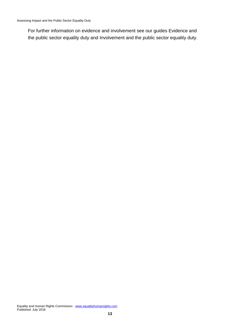<span id="page-12-0"></span>For further information on evidence and involvement see our guides Evidence and the public sector equality duty and Involvement and the public sector equality duty.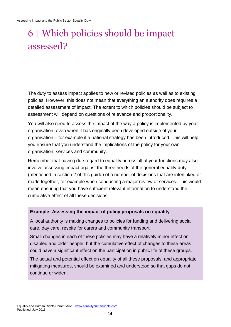# 6 | Which policies should be impact assessed?

The duty to assess impact applies to new or revised policies as well as to existing policies. However, this does not mean that everything an authority does requires a detailed assessment of impact. The extent to which policies should be subject to assessment will depend on questions of relevance and proportionality.

You will also need to assess the impact of the way a policy is implemented by your organisation, even when it has originally been developed outside of your organisation – for example if a national strategy has been introduced. This will help you ensure that you understand the implications of the policy for your own organisation, services and community.

Remember that having due regard to equality across all of your functions may also involve assessing impact against the three needs of the general equality duty (mentioned in section 2 of this guide) of a number of decisions that are interlinked or made together, for example when conducting a major review of services. This would mean ensuring that you have sufficient relevant information to understand the cumulative effect of all these decisions.

#### **Example: Assessing the impact of policy proposals on equality**

A local authority is making changes to policies for funding and delivering social care, day care, respite for carers and community transport.

Small changes in each of these policies may have a relatively minor effect on disabled and older people, but the cumulative effect of changes to these areas could have a significant effect on the participation in public life of these groups.

The actual and potential effect on equality of all these proposals, and appropriate mitigating measures, should be examined and understood so that gaps do not continue or widen.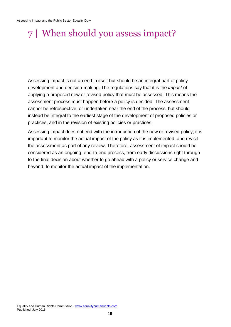# <span id="page-14-0"></span>7 | When should you assess impact?

Assessing impact is not an end in itself but should be an integral part of policy development and decision-making. The regulations say that it is the *impact* of applying a proposed new or revised policy that must be assessed. This means the assessment process must happen before a policy is decided. The assessment cannot be retrospective, or undertaken near the end of the process, but should instead be integral to the earliest stage of the development of proposed policies or practices, and in the revision of existing policies or practices.

Assessing impact does not end with the introduction of the new or revised policy; it is important to monitor the actual impact of the policy as it is implemented, and revisit the assessment as part of any review. Therefore, assessment of impact should be considered as an ongoing, end-to-end process, from early discussions right through to the final decision about whether to go ahead with a policy or service change and beyond, to monitor the actual impact of the implementation.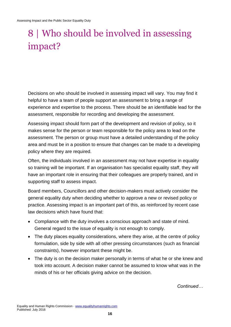# <span id="page-15-0"></span>8 | Who should be involved in assessing impact?

Decisions on who should be involved in assessing impact will vary. You may find it helpful to have a team of people support an assessment to bring a range of experience and expertise to the process. There should be an identifiable lead for the assessment, responsible for recording and developing the assessment.

Assessing impact should form part of the development and revision of policy, so it makes sense for the person or team responsible for the policy area to lead on the assessment. The person or group must have a detailed understanding of the policy area and must be in a position to ensure that changes can be made to a developing policy where they are required.

Often, the individuals involved in an assessment may not have expertise in equality so training will be important. If an organisation has specialist equality staff, they will have an important role in ensuring that their colleagues are properly trained, and in supporting staff to assess impact.

Board members, Councillors and other decision-makers must actively consider the general equality duty when deciding whether to approve a new or revised policy or practice. Assessing impact is an important part of this, as reinforced by recent case law decisions which have found that:

- Compliance with the duty involves a conscious approach and state of mind. General regard to the issue of equality is not enough to comply.
- The duty places equality considerations, where they arise, at the centre of policy formulation, side by side with all other pressing circumstances (such as financial constraints), however important these might be.
- The duty is on the decision maker personally in terms of what he or she knew and took into account. A decision maker cannot be assumed to know what was in the minds of his or her officials giving advice on the decision.

*Continued…*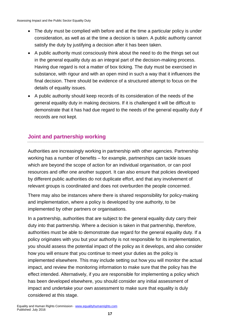- The duty must be complied with before and at the time a particular policy is under consideration, as well as at the time a decision is taken. A public authority cannot satisfy the duty by justifying a decision after it has been taken.
- A public authority must consciously think about the need to do the things set out in the general equality duty as an integral part of the decision-making process. Having due regard is not a matter of box ticking. The duty must be exercised in substance, with rigour and with an open mind in such a way that it influences the final decision. There should be evidence of a structured attempt to focus on the details of equality issues.
- A public authority should keep records of its consideration of the needs of the general equality duty in making decisions. If it is challenged it will be difficult to demonstrate that it has had due regard to the needs of the general equality duty if records are not kept.

### <span id="page-16-0"></span>**Joint and partnership working**

Authorities are increasingly working in partnership with other agencies. Partnership working has a number of benefits – for example, partnerships can tackle issues which are beyond the scope of action for an individual organisation, or can pool resources and offer one another support. It can also ensure that policies developed by different public authorities do not duplicate effort, and that any involvement of relevant groups is coordinated and does not overburden the people concerned.

There may also be instances where there is shared responsibility for policy-making and implementation, where a policy is developed by one authority, to be implemented by other partners or organisations.

In a partnership, authorities that are subject to the general equality duty carry their duty into that partnership. Where a decision is taken in that partnership, therefore, authorities must be able to demonstrate due regard for the general equality duty. If a policy originates with you but your authority is not responsible for its implementation, you should assess the potential impact of the policy as it develops, and also consider how you will ensure that you continue to meet your duties as the policy is implemented elsewhere. This may include setting out how you will monitor the actual impact, and review the monitoring information to make sure that the policy has the effect intended. Alternatively, if you are responsible for implementing a policy which has been developed elsewhere, you should consider any initial assessment of impact and undertake your own assessment to make sure that equality is duly considered at this stage.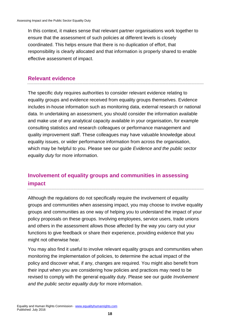In this context, it makes sense that relevant partner organisations work together to ensure that the assessment of such policies at different levels is closely coordinated. This helps ensure that there is no duplication of effort, that responsibility is clearly allocated and that information is properly shared to enable effective assessment of impact.

#### <span id="page-17-0"></span>**Relevant evidence**

The specific duty requires authorities to consider relevant evidence relating to equality groups and evidence received from equality groups themselves. Evidence includes in-house information such as monitoring data, external research or national data. In undertaking an assessment, you should consider the information available and make use of any analytical capacity available in your organisation, for example consulting statistics and research colleagues or performance management and quality improvement staff. These colleagues may have valuable knowledge about equality issues, or wider performance information from across the organisation, which may be helpful to you. Please see our guide *Evidence and the public sector equality duty* for more information.

### <span id="page-17-1"></span>**Involvement of equality groups and communities in assessing impact**

Although the regulations do not specifically require the involvement of equality groups and communities when assessing impact, you may choose to involve equality groups and communities as one way of helping you to understand the impact of your policy proposals on these groups. Involving employees, service users, trade unions and others in the assessment allows those affected by the way you carry out your functions to give feedback or share their experience, providing evidence that you might not otherwise hear.

You may also find it useful to involve relevant equality groups and communities when monitoring the implementation of policies, to determine the actual impact of the policy and discover what, if any, changes are required. You might also benefit from their input when you are considering how policies and practices may need to be revised to comply with the general equality duty. Please see our guide *Involvement and the public sector equality duty* for more information.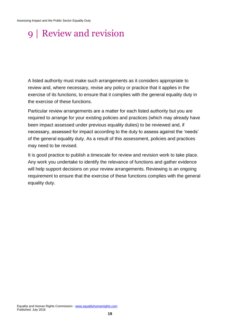# <span id="page-18-0"></span>9 | Review and revision

A listed authority must make such arrangements as it considers appropriate to review and, where necessary, revise any policy or practice that it applies in the exercise of its functions, to ensure that it complies with the general equality duty in the exercise of these functions.

Particular review arrangements are a matter for each listed authority but you are required to arrange for your existing policies and practices (which may already have been impact assessed under previous equality duties) to be reviewed and, if necessary, assessed for impact according to the duty to assess against the 'needs' of the general equality duty. As a result of this assessment, policies and practices may need to be revised.

It is good practice to publish a timescale for review and revision work to take place. Any work you undertake to identify the relevance of functions and gather evidence will help support decisions on your review arrangements. Reviewing is an ongoing requirement to ensure that the exercise of these functions complies with the general equality duty.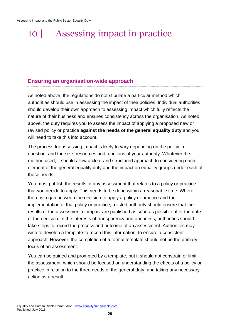# <span id="page-19-0"></span>10 | Assessing impact in practice

#### <span id="page-19-1"></span>**Ensuring an organisation-wide approach**

As noted above, the regulations do not stipulate a particular method which authorities should use in assessing the impact of their policies. Individual authorities should develop their own approach to assessing impact which fully reflects the nature of their business and ensures consistency across the organisation. As noted above, the duty requires you to assess the impact of applying a proposed new or revised policy or practice **against the needs of the general equality duty** and you will need to take this into account.

The process for assessing impact is likely to vary depending on the policy in question, and the size, resources and functions of your authority. Whatever the method used, it should allow a clear and structured approach to considering each element of the general equality duty and the impact on equality groups under each of those needs.

You must publish the results of any assessment that relates to a policy or practice that you decide to apply. This needs to be done within a reasonable time. Where there is a gap between the decision to apply a policy or practice and the implementation of that policy or practice, a listed authority should ensure that the results of the assessment of impact are published as soon as possible after the date of the decision. In the interests of transparency and openness, authorities should take steps to record the process and outcome of an assessment. Authorities may wish to develop a template to record this information, to ensure a consistent approach. However, the completion of a formal template should not be the primary focus of an assessment.

You can be guided and prompted by a template, but it should not constrain or limit the assessment, which should be focused on understanding the effects of a policy or practice in relation to the three needs of the general duty, and taking any necessary action as a result.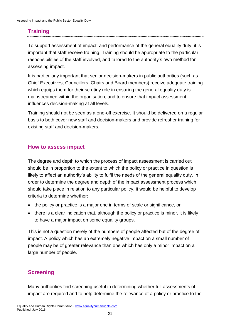### <span id="page-20-0"></span>**Training**

To support assessment of impact, and performance of the general equality duty, it is important that staff receive training. Training should be appropriate to the particular responsibilities of the staff involved, and tailored to the authority's own method for assessing impact.

It is particularly important that senior decision-makers in public authorities (such as Chief Executives, Councillors, Chairs and Board members) receive adequate training which equips them for their scrutiny role in ensuring the general equality duty is mainstreamed within the organisation, and to ensure that impact assessment influences decision-making at all levels.

Training should not be seen as a one-off exercise. It should be delivered on a regular basis to both cover new staff and decision-makers and provide refresher training for existing staff and decision-makers.

#### <span id="page-20-1"></span>**How to assess impact**

The degree and depth to which the process of impact assessment is carried out should be in proportion to the extent to which the policy or practice in question is likely to affect an authority's ability to fulfil the needs of the general equality duty. In order to determine the degree and depth of the impact assessment process which should take place in relation to any particular policy, it would be helpful to develop criteria to determine whether:

- the policy or practice is a major one in terms of scale or significance, or
- there is a clear indication that, although the policy or practice is minor, it is likely to have a major impact on some equality groups.

This is not a question merely of the numbers of people affected but of the degree of impact. A policy which has an extremely negative impact on a small number of people may be of greater relevance than one which has only a minor impact on a large number of people.

#### <span id="page-20-2"></span>**Screening**

Many authorities find screening useful in determining whether full assessments of impact are required and to help determine the relevance of a policy or practice to the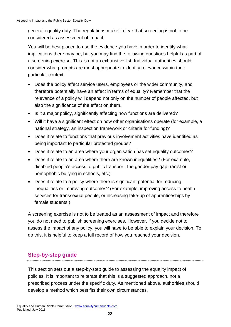general equality duty. The regulations make it clear that screening is not to be considered as assessment of impact.

You will be best placed to use the evidence you have in order to identify what implications there may be, but you may find the following questions helpful as part of a screening exercise. This is not an exhaustive list. Individual authorities should consider what prompts are most appropriate to identify relevance within their particular context.

- Does the policy affect service users, employees or the wider community, and therefore potentially have an effect in terms of equality? Remember that the relevance of a policy will depend not only on the number of people affected, but also the significance of the effect on them.
- Is it a major policy, significantly affecting how functions are delivered?
- Will it have a significant effect on how other organisations operate (for example, a national strategy, an inspection framework or criteria for funding)?
- Does it relate to functions that previous involvement activities have identified as being important to particular protected groups?
- Does it relate to an area where your organisation has set equality outcomes?
- Does it relate to an area where there are known inequalities? (For example, disabled people's access to public transport; the gender pay gap; racist or homophobic bullying in schools, etc.)
- Does it relate to a policy where there is significant potential for reducing inequalities or improving outcomes? (For example, improving access to health services for transsexual people, or increasing take-up of apprenticeships by female students.)

A screening exercise is not to be treated as an assessment of impact and therefore you do not need to publish screening exercises. However, if you decide not to assess the impact of any policy, you will have to be able to explain your decision. To do this, it is helpful to keep a full record of how you reached your decision.

### <span id="page-21-0"></span>**Step-by-step guide**

This section sets out a step-by-step guide to assessing the equality impact of policies. It is important to reiterate that this is a suggested approach, not a prescribed process under the specific duty. As mentioned above, authorities should develop a method which best fits their own circumstances.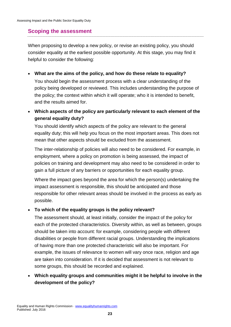#### <span id="page-22-0"></span>**Scoping the assessment**

When proposing to develop a new policy, or revise an existing policy, you should consider equality at the earliest possible opportunity. At this stage, you may find it helpful to consider the following:

- **What are the aims of the policy, and how do these relate to equality?** You should begin the assessment process with a clear understanding of the policy being developed or reviewed. This includes understanding the purpose of the policy; the context within which it will operate; who it is intended to benefit, and the results aimed for.
- **Which aspects of the policy are particularly relevant to each element of the general equality duty?**

You should identify which aspects of the policy are relevant to the general equality duty; this will help you focus on the most important areas. This does not mean that other aspects should be excluded from the assessment.

The inter-relationship of policies will also need to be considered. For example, in employment, where a policy on promotion is being assessed, the impact of policies on training and development may also need to be considered in order to gain a full picture of any barriers or opportunities for each equality group.

Where the impact goes beyond the area for which the person(s) undertaking the impact assessment is responsible, this should be anticipated and those responsible for other relevant areas should be involved in the process as early as possible.

#### **To which of the equality groups is the policy relevant?**

The assessment should, at least initially, consider the impact of the policy for each of the protected characteristics. Diversity within, as well as between, groups should be taken into account: for example, considering people with different disabilities or people from different racial groups. Understanding the implications of having more than one protected characteristic will also be important. For example, the issues of relevance to women will vary once race, religion and age are taken into consideration. If it is decided that assessment is not relevant to some groups, this should be recorded and explained.

#### **Which equality groups and communities might it be helpful to involve in the development of the policy?**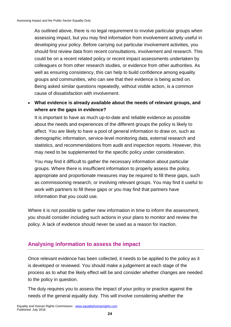As outlined above, there is no legal requirement to involve particular groups when assessing impact, but you may find information from involvement activity useful in developing your policy. Before carrying out particular involvement activities, you should first review data from recent consultations, involvement and research. This could be on a recent related policy or recent impact assessments undertaken by colleagues or from other research studies, or evidence from other authorities. As well as ensuring consistency, this can help to build confidence among equality groups and communities, who can see that their evidence is being acted on. Being asked similar questions repeatedly, without visible action, is a common cause of dissatisfaction with involvement.

 **What evidence is already available about the needs of relevant groups, and where are the gaps in evidence?**

It is important to have as much up-to-date and reliable evidence as possible about the needs and experiences of the different groups the policy is likely to affect. You are likely to have a pool of general information to draw on, such as demographic information, service-level monitoring data, external research and statistics, and recommendations from audit and inspection reports. However, this may need to be supplemented for the specific policy under consideration.

You may find it difficult to gather the necessary information about particular groups. Where there is insufficient information to properly assess the policy, appropriate and proportionate measures may be required to fill these gaps, such as commissioning research, or involving relevant groups. You may find it useful to work with partners to fill these gaps or you may find that partners have information that you could use.

Where it is not possible to gather new information in time to inform the assessment, you should consider including such actions in your plans to monitor and review the policy. A lack of evidence should never be used as a reason for inaction.

#### <span id="page-23-0"></span>**Analysing information to assess the impact**

Once relevant evidence has been collected, it needs to be applied to the policy as it is developed or reviewed. You should make a judgement at each stage of the process as to what the likely effect will be and consider whether changes are needed to the policy in question.

The duty requires you to assess the impact of your policy or practice against the needs of the general equality duty. This will involve considering whether the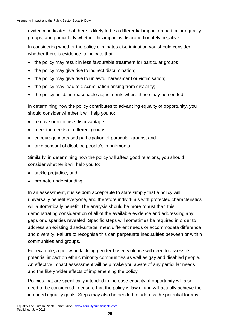evidence indicates that there is likely to be a differential impact on particular equality groups, and particularly whether this impact is disproportionately negative.

In considering whether the policy eliminates discrimination you should consider whether there is evidence to indicate that:

- the policy may result in less favourable treatment for particular groups;
- the policy may give rise to indirect discrimination;
- the policy may give rise to unlawful harassment or victimisation;
- the policy may lead to discrimination arising from disability;
- the policy builds in reasonable adjustments where these may be needed.

In determining how the policy contributes to advancing equality of opportunity, you should consider whether it will help you to:

- remove or minimise disadvantage:
- meet the needs of different groups;
- encourage increased participation of particular groups; and
- take account of disabled people's impairments.

Similarly, in determining how the policy will affect good relations, you should consider whether it will help you to:

- tackle prejudice; and
- promote understanding.

In an assessment, it is seldom acceptable to state simply that a policy will universally benefit everyone, and therefore individuals with protected characteristics will automatically benefit. The analysis should be more robust than this, demonstrating consideration of all of the available evidence and addressing any gaps or disparities revealed. Specific steps will sometimes be required in order to address an existing disadvantage, meet different needs or accommodate difference and diversity. Failure to recognise this can perpetuate inequalities between or within communities and groups.

For example, a policy on tackling gender-based violence will need to assess its potential impact on ethnic minority communities as well as gay and disabled people. An effective impact assessment will help make you aware of any particular needs and the likely wider effects of implementing the policy.

Policies that are specifically intended to increase equality of opportunity will also need to be considered to ensure that the policy is lawful and will actually achieve the intended equality goals. Steps may also be needed to address the potential for any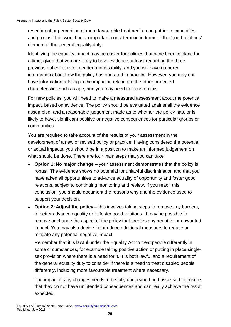resentment or perception of more favourable treatment among other communities and groups. This would be an important consideration in terms of the 'good relations' element of the general equality duty.

Identifying the equality impact may be easier for policies that have been in place for a time, given that you are likely to have evidence at least regarding the three previous duties for race, gender and disability, and you will have gathered information about how the policy has operated in practice. However, you may not have information relating to the impact in relation to the other protected characteristics such as age, and you may need to focus on this.

For new policies, you will need to make a measured assessment about the potential impact, based on evidence. The policy should be evaluated against all the evidence assembled, and a reasonable judgement made as to whether the policy has, or is likely to have, significant positive or negative consequences for particular groups or communities.

You are required to take account of the results of your assessment in the development of a new or revised policy or practice. Having considered the potential or actual impacts, you should be in a position to make an informed judgement on what should be done. There are four main steps that you can take:

- **Option 1: No major change** your assessment demonstrates that the policy is robust. The evidence shows no potential for unlawful discrimination and that you have taken all opportunities to advance equality of opportunity and foster good relations, subject to continuing monitoring and review. If you reach this conclusion, you should document the reasons why and the evidence used to support your decision.
- **Option 2: Adjust the policy** this involves taking steps to remove any barriers, to better advance equality or to foster good relations. It may be possible to remove or change the aspect of the policy that creates any negative or unwanted impact. You may also decide to introduce additional measures to reduce or mitigate any potential negative impact.

Remember that it is lawful under the Equality Act to treat people differently in some circumstances, for example taking positive action or putting in place singlesex provision where there is a need for it. It is both lawful and a requirement of the general equality duty to consider if there is a need to treat disabled people differently, including more favourable treatment where necessary.

The impact of any changes needs to be fully understood and assessed to ensure that they do not have unintended consequences and can really achieve the result expected.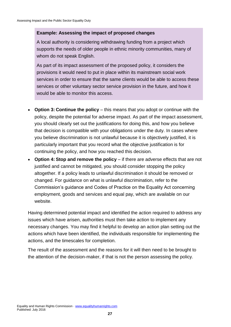#### **Example: Assessing the impact of proposed changes**

A local authority is considering withdrawing funding from a project which supports the needs of older people in ethnic minority communities, many of whom do not speak English.

As part of its impact assessment of the proposed policy, it considers the provisions it would need to put in place within its mainstream social work services in order to ensure that the same clients would be able to access these services or other voluntary sector service provision in the future, and how it would be able to monitor this access.

- **Option 3: Continue the policy** this means that you adopt or continue with the policy, despite the potential for adverse impact. As part of the impact assessment, you should clearly set out the justifications for doing this, and how you believe that decision is compatible with your obligations under the duty. In cases where you believe discrimination is not unlawful because it is objectively justified, it is particularly important that you record what the objective justification is for continuing the policy, and how you reached this decision.
- **Option 4: Stop and remove the policy** if there are adverse effects that are not justified and cannot be mitigated, you should consider stopping the policy altogether. If a policy leads to unlawful discrimination it should be removed or changed. For guidance on what is unlawful discrimination, refer to the Commission's guidance and Codes of Practice on the Equality Act concerning employment, goods and services and equal pay, which are available on our website.

Having determined potential impact and identified the action required to address any issues which have arisen, authorities must then take action to implement any necessary changes. You may find it helpful to develop an action plan setting out the actions which have been identified, the individuals responsible for implementing the actions, and the timescales for completion.

The result of the assessment and the reasons for it will then need to be brought to the attention of the decision-maker, if that is not the person assessing the policy.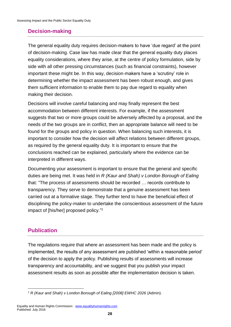#### <span id="page-27-0"></span>**Decision-making**

The general equality duty requires decision-makers to have 'due regard' at the point of decision-making. Case law has made clear that the general equality duty places equality considerations, where they arise, at the centre of policy formulation, side by side with all other pressing circumstances (such as financial constraints), however important these might be. In this way, decision-makers have a 'scrutiny' role in determining whether the impact assessment has been robust enough, and gives them sufficient information to enable them to pay due regard to equality when making their decision.

Decisions will involve careful balancing and may finally represent the best accommodation between different interests. For example, if the assessment suggests that two or more groups could be adversely affected by a proposal, and the needs of the two groups are in conflict, then an appropriate balance will need to be found for the groups and policy in question. When balancing such interests, it is important to consider how the decision will affect relations between different groups, as required by the general equality duty. It is important to ensure that the conclusions reached can be explained, particularly where the evidence can be interpreted in different ways.

Documenting your assessment is important to ensure that the general and specific duties are being met. It was held in *R (Kaur and Shah) v London Borough of Ealing*  that: "The process of assessments should be recorded … records contribute to transparency. They serve to demonstrate that a genuine assessment has been carried out at a formative stage. They further tend to have the beneficial effect of disciplining the policy-maker to undertake the conscientious assessment of the future impact of [his/her] proposed policy." 1

### <span id="page-27-1"></span>**Publication**

The regulations require that where an assessment has been made and the policy is implemented, the results of any assessment are published 'within a reasonable period' of the decision to apply the policy. Publishing results of assessments will increase transparency and accountability, and we suggest that you publish your impact assessment results as soon as possible after the implementation decision is taken.

<sup>&</sup>lt;u>.</u> <sup>1</sup> *R (Kaur and Shah) v London Borough of Ealing [2008] EWHC 2026* (Admin).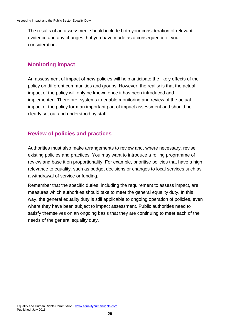The results of an assessment should include both your consideration of relevant evidence and any changes that you have made as a consequence of your consideration.

#### <span id="page-28-0"></span>**Monitoring impact**

An assessment of impact of **new** policies will help anticipate the likely effects of the policy on different communities and groups. However, the reality is that the actual impact of the policy will only be known once it has been introduced and implemented. Therefore, systems to enable monitoring and review of the actual impact of the policy form an important part of impact assessment and should be clearly set out and understood by staff.

#### <span id="page-28-1"></span>**Review of policies and practices**

Authorities must also make arrangements to review and, where necessary, revise existing policies and practices. You may want to introduce a rolling programme of review and base it on proportionality. For example, prioritise policies that have a high relevance to equality, such as budget decisions or changes to local services such as a withdrawal of service or funding.

Remember that the specific duties, including the requirement to assess impact, are measures which authorities should take to meet the general equality duty. In this way, the general equality duty is still applicable to ongoing operation of policies, even where they have been subject to impact assessment. Public authorities need to satisfy themselves on an ongoing basis that they are continuing to meet each of the needs of the general equality duty.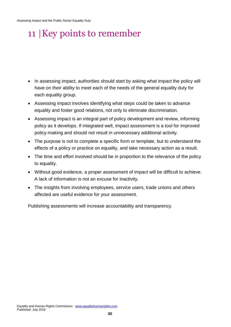# <span id="page-29-0"></span>11 |Key points to remember

- In assessing impact, authorities should start by asking what impact the policy will have on their ability to meet each of the needs of the general equality duty for each equality group.
- Assessing impact involves identifying what steps could be taken to advance equality and foster good relations, not only to eliminate discrimination.
- Assessing impact is an integral part of policy development and review, informing policy as it develops. If integrated well, impact assessment is a tool for improved policy-making and should not result in unnecessary additional activity.
- The purpose is not to complete a specific form or template, but to understand the effects of a policy or practice on equality, and take necessary action as a result.
- The time and effort involved should be in proportion to the relevance of the policy to equality.
- Without good evidence, a proper assessment of impact will be difficult to achieve. A lack of information is not an excuse for inactivity.
- The insights from involving employees, service users, trade unions and others affected are useful evidence for your assessment.

Publishing assessments will increase accountability and transparency.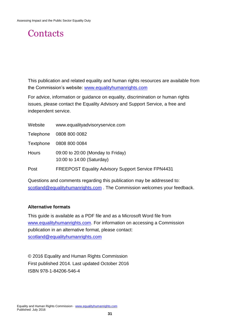## <span id="page-30-0"></span>**Contacts**

This publication and related equality and human rights resources are available from the Commission's website: [www.equalityhumanrights.com](http://www.equalityhumanrights.com/)

For advice, information or guidance on equality, discrimination or human rights issues, please contact the Equality Advisory and Support Service, a free and independent service.

| Website          | www.equalityadvisoryservice.com                                |
|------------------|----------------------------------------------------------------|
| <b>Telephone</b> | 0808 800 0082                                                  |
| <b>Textphone</b> | 0808 800 0084                                                  |
| <b>Hours</b>     | 09:00 to 20:00 (Monday to Friday)<br>10:00 to 14:00 (Saturday) |
| Post             | <b>FREEPOST Equality Advisory Support Service FPN4431</b>      |
|                  |                                                                |

Questions and comments regarding this publication may be addressed to: [scotland@equalityhumanrights.com](mailto:scotland@equalityhumanrights.com) . The Commission welcomes your feedback.

#### **Alternative formats**

This guide is available as a PDF file and as a Microsoft Word file from [www.equalityhumanrights.com.](http://www.equalityhumanrights.com/) For information on accessing a Commission publication in an alternative format, please contact: [scotland@equalityhumanrights.com](mailto:scotland@equalityhumanrights.com)

© 2016 Equality and Human Rights Commission First published 2014. Last updated October 2016 ISBN 978-1-84206-546-4